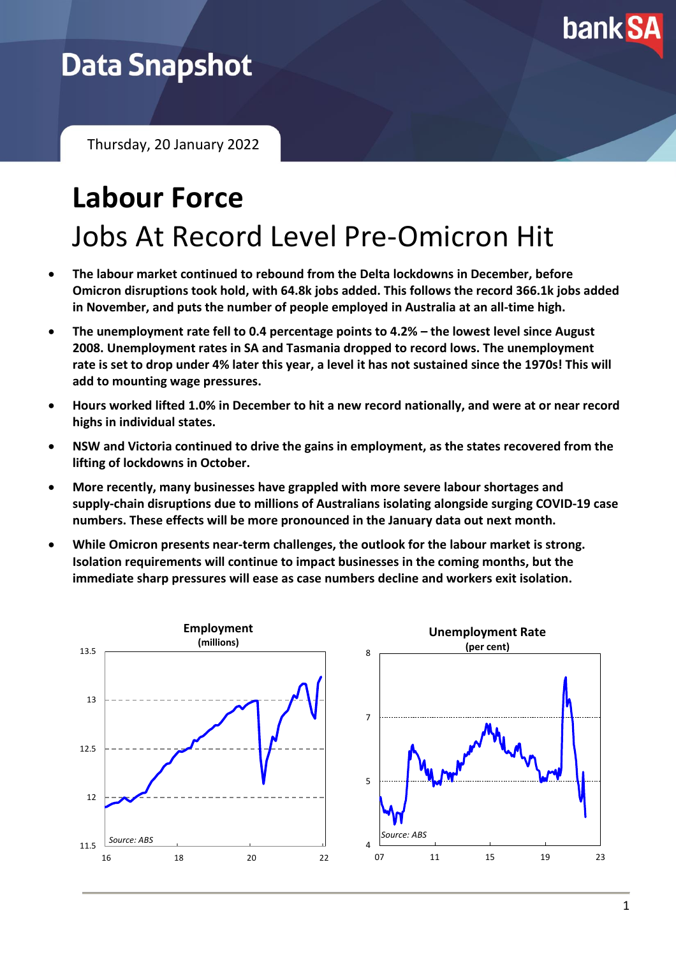

## **Data Snapshot**

Thursday, 20 January 2022

# **Labour Force** Jobs At Record Level Pre-Omicron Hit

- **The labour market continued to rebound from the Delta lockdowns in December, before Omicron disruptions took hold, with 64.8k jobs added. This follows the record 366.1k jobs added in November, and puts the number of people employed in Australia at an all-time high.**
- **The unemployment rate fell to 0.4 percentage points to 4.2% – the lowest level since August 2008. Unemployment rates in SA and Tasmania dropped to record lows. The unemployment rate is set to drop under 4% later this year, a level it has not sustained since the 1970s! This will add to mounting wage pressures.**
- **Hours worked lifted 1.0% in December to hit a new record nationally, and were at or near record highs in individual states.**
- **NSW and Victoria continued to drive the gains in employment, as the states recovered from the lifting of lockdowns in October.**
- **More recently, many businesses have grappled with more severe labour shortages and supply-chain disruptions due to millions of Australians isolating alongside surging COVID-19 case numbers. These effects will be more pronounced in the January data out next month.**
- **While Omicron presents near-term challenges, the outlook for the labour market is strong. Isolation requirements will continue to impact businesses in the coming months, but the immediate sharp pressures will ease as case numbers decline and workers exit isolation.**

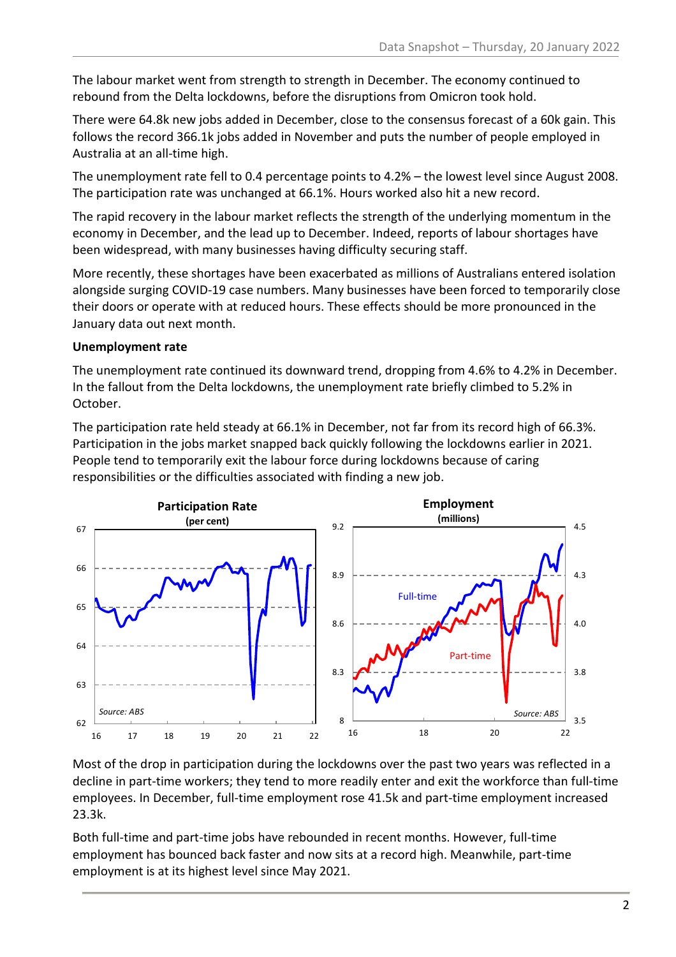The labour market went from strength to strength in December. The economy continued to rebound from the Delta lockdowns, before the disruptions from Omicron took hold.

There were 64.8k new jobs added in December, close to the consensus forecast of a 60k gain. This follows the record 366.1k jobs added in November and puts the number of people employed in Australia at an all-time high.

The unemployment rate fell to 0.4 percentage points to 4.2% – the lowest level since August 2008. The participation rate was unchanged at 66.1%. Hours worked also hit a new record.

The rapid recovery in the labour market reflects the strength of the underlying momentum in the economy in December, and the lead up to December. Indeed, reports of labour shortages have been widespread, with many businesses having difficulty securing staff.

More recently, these shortages have been exacerbated as millions of Australians entered isolation alongside surging COVID-19 case numbers. Many businesses have been forced to temporarily close their doors or operate with at reduced hours. These effects should be more pronounced in the January data out next month.

#### **Unemployment rate**

The unemployment rate continued its downward trend, dropping from 4.6% to 4.2% in December. In the fallout from the Delta lockdowns, the unemployment rate briefly climbed to 5.2% in October.

The participation rate held steady at 66.1% in December, not far from its record high of 66.3%. Participation in the jobs market snapped back quickly following the lockdowns earlier in 2021. People tend to temporarily exit the labour force during lockdowns because of caring responsibilities or the difficulties associated with finding a new job.



Most of the drop in participation during the lockdowns over the past two years was reflected in a decline in part-time workers; they tend to more readily enter and exit the workforce than full-time employees. In December, full-time employment rose 41.5k and part-time employment increased 23.3k.

Both full-time and part-time jobs have rebounded in recent months. However, full-time employment has bounced back faster and now sits at a record high. Meanwhile, part-time employment is at its highest level since May 2021.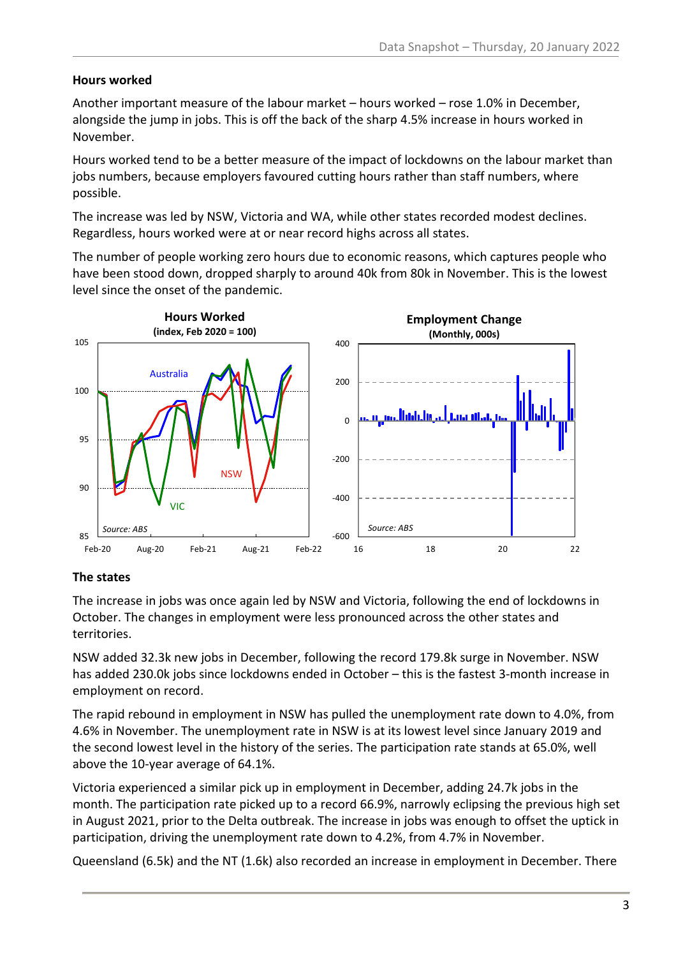#### **Hours worked**

Another important measure of the labour market – hours worked – rose 1.0% in December, alongside the jump in jobs. This is off the back of the sharp 4.5% increase in hours worked in November.

Hours worked tend to be a better measure of the impact of lockdowns on the labour market than jobs numbers, because employers favoured cutting hours rather than staff numbers, where possible.

The increase was led by NSW, Victoria and WA, while other states recorded modest declines. Regardless, hours worked were at or near record highs across all states.

The number of people working zero hours due to economic reasons, which captures people who have been stood down, dropped sharply to around 40k from 80k in November. This is the lowest level since the onset of the pandemic.



#### **The states**

The increase in jobs was once again led by NSW and Victoria, following the end of lockdowns in October. The changes in employment were less pronounced across the other states and territories.

NSW added 32.3k new jobs in December, following the record 179.8k surge in November. NSW has added 230.0k jobs since lockdowns ended in October – this is the fastest 3-month increase in employment on record.

The rapid rebound in employment in NSW has pulled the unemployment rate down to 4.0%, from 4.6% in November. The unemployment rate in NSW is at its lowest level since January 2019 and the second lowest level in the history of the series. The participation rate stands at 65.0%, well above the 10-year average of 64.1%.

Victoria experienced a similar pick up in employment in December, adding 24.7k jobs in the month. The participation rate picked up to a record 66.9%, narrowly eclipsing the previous high set in August 2021, prior to the Delta outbreak. The increase in jobs was enough to offset the uptick in participation, driving the unemployment rate down to 4.2%, from 4.7% in November.

Queensland (6.5k) and the NT (1.6k) also recorded an increase in employment in December. There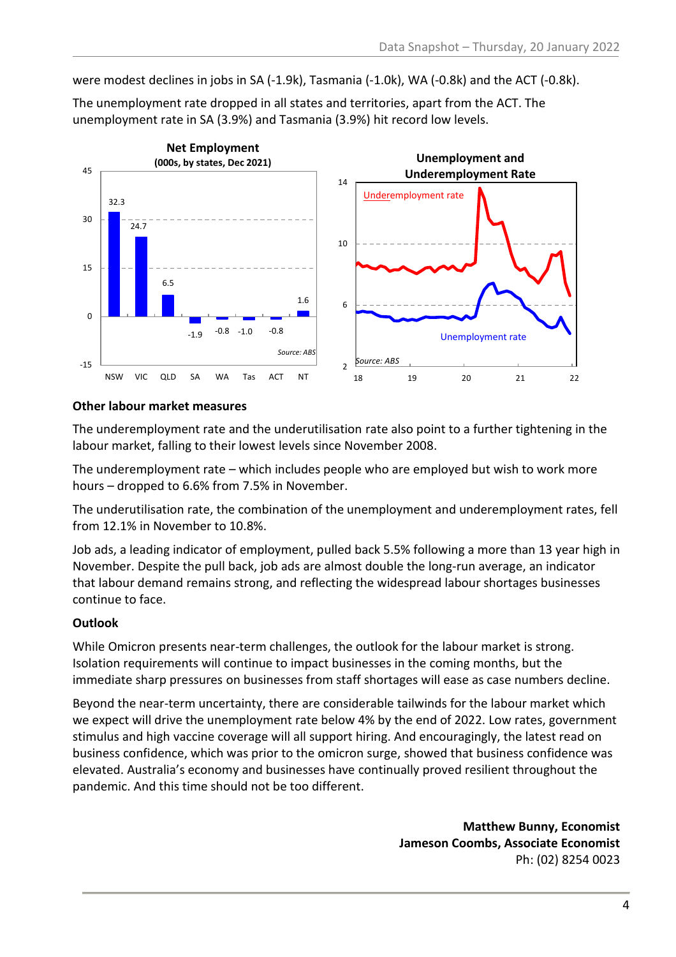were modest declines in jobs in SA (-1.9k), Tasmania (-1.0k), WA (-0.8k) and the ACT (-0.8k).

32.3  $\frac{1}{24.7}$ 6.5  $-1.9$   $-0.8$   $-1.0$   $-0.8$ 1.6 -15  $\Omega$ 15 30 45 NSW VIC QLD SA WA Tas ACT NT **Net Employment (000s, by states, Dec 2021)** *Source: ABS* 2 6 10 14 18 19 20 21 22 **Unemployment and Underemployment Rate**  *Source: ABS* Underemployment rate Unemployment rate

The unemployment rate dropped in all states and territories, apart from the ACT. The unemployment rate in SA (3.9%) and Tasmania (3.9%) hit record low levels.

#### **Other labour market measures**

The underemployment rate and the underutilisation rate also point to a further tightening in the labour market, falling to their lowest levels since November 2008.

The underemployment rate – which includes people who are employed but wish to work more hours – dropped to 6.6% from 7.5% in November.

The underutilisation rate, the combination of the unemployment and underemployment rates, fell from 12.1% in November to 10.8%.

Job ads, a leading indicator of employment, pulled back 5.5% following a more than 13 year high in November. Despite the pull back, job ads are almost double the long-run average, an indicator that labour demand remains strong, and reflecting the widespread labour shortages businesses continue to face.

### **Outlook**

While Omicron presents near-term challenges, the outlook for the labour market is strong. Isolation requirements will continue to impact businesses in the coming months, but the immediate sharp pressures on businesses from staff shortages will ease as case numbers decline.

Beyond the near-term uncertainty, there are considerable tailwinds for the labour market which we expect will drive the unemployment rate below 4% by the end of 2022. Low rates, government stimulus and high vaccine coverage will all support hiring. And encouragingly, the latest read on business confidence, which was prior to the omicron surge, showed that business confidence was elevated. Australia's economy and businesses have continually proved resilient throughout the pandemic. And this time should not be too different.

> **Matthew Bunny, Economist Jameson Coombs, Associate Economist** Ph: (02) 8254 0023